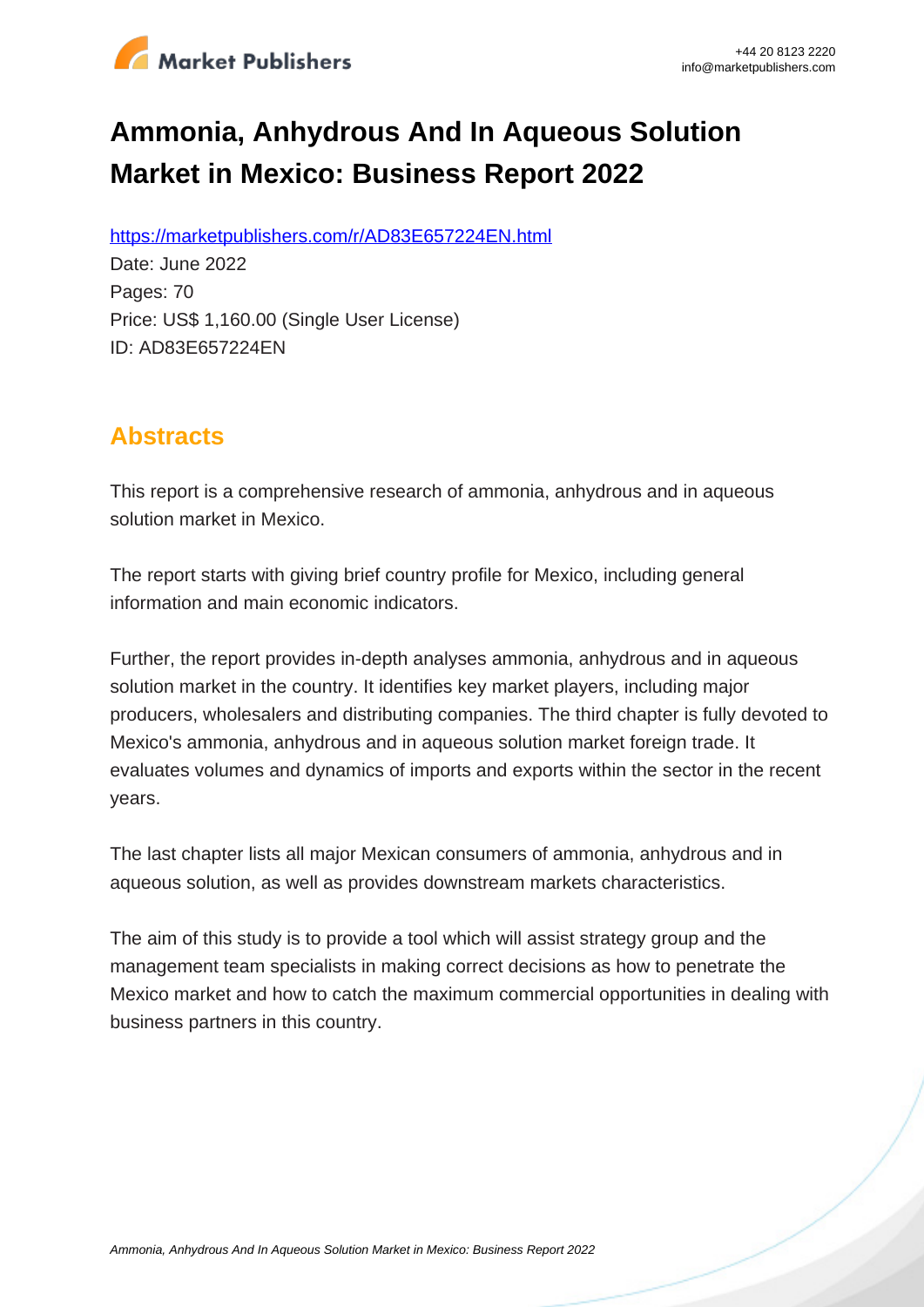

# **Ammonia, Anhydrous And In Aqueous Solution Market in Mexico: Business Report 2022**

https://marketpublishers.com/r/AD83E657224EN.html

Date: June 2022 Pages: 70 Price: US\$ 1,160.00 (Single User License) ID: AD83E657224EN

## **Abstracts**

This report is a comprehensive research of ammonia, anhydrous and in aqueous solution market in Mexico.

The report starts with giving brief country profile for Mexico, including general information and main economic indicators.

Further, the report provides in-depth analyses ammonia, anhydrous and in aqueous solution market in the country. It identifies key market players, including major producers, wholesalers and distributing companies. The third chapter is fully devoted to Mexico's ammonia, anhydrous and in aqueous solution market foreign trade. It evaluates volumes and dynamics of imports and exports within the sector in the recent years.

The last chapter lists all major Mexican consumers of ammonia, anhydrous and in aqueous solution, as well as provides downstream markets characteristics.

The aim of this study is to provide a tool which will assist strategy group and the management team specialists in making correct decisions as how to penetrate the Mexico market and how to catch the maximum commercial opportunities in dealing with business partners in this country.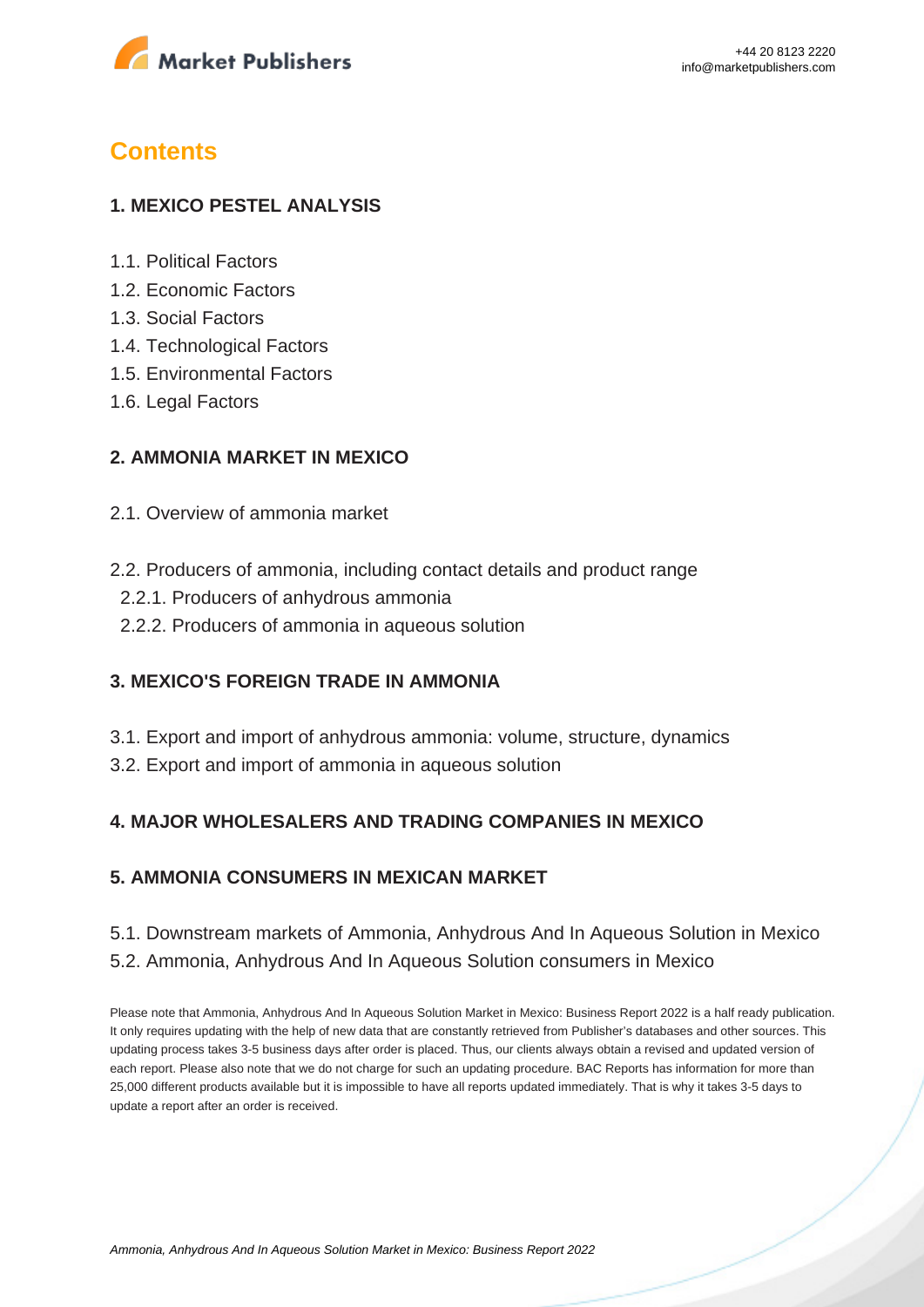

## **Contents**

#### **1. MEXICO PESTEL ANALYSIS**

- 1.1. Political Factors
- 1.2. Economic Factors
- 1.3. Social Factors
- 1.4. Technological Factors
- 1.5. Environmental Factors
- 1.6. Legal Factors

#### **2. AMMONIA MARKET IN MEXICO**

- 2.1. Overview of ammonia market
- 2.2. Producers of ammonia, including contact details and product range
	- 2.2.1. Producers of anhydrous ammonia
	- 2.2.2. Producers of ammonia in aqueous solution

#### **3. MEXICO'S FOREIGN TRADE IN AMMONIA**

- 3.1. Export and import of anhydrous ammonia: volume, structure, dynamics
- 3.2. Export and import of ammonia in aqueous solution

#### **4. MAJOR WHOLESALERS AND TRADING COMPANIES IN MEXICO**

#### **5. AMMONIA CONSUMERS IN MEXICAN MARKET**

## 5.1. Downstream markets of Ammonia, Anhydrous And In Aqueous Solution in Mexico

5.2. Ammonia, Anhydrous And In Aqueous Solution consumers in Mexico

Please note that Ammonia, Anhydrous And In Aqueous Solution Market in Mexico: Business Report 2022 is a half ready publication. It only requires updating with the help of new data that are constantly retrieved from Publisher's databases and other sources. This updating process takes 3-5 business days after order is placed. Thus, our clients always obtain a revised and updated version of each report. Please also note that we do not charge for such an updating procedure. BAC Reports has information for more than 25,000 different products available but it is impossible to have all reports updated immediately. That is why it takes 3-5 days to update a report after an order is received.